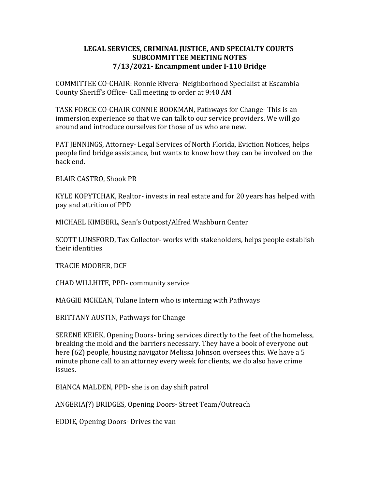## LEGAL SERVICES, CRIMINAL JUSTICE, AND SPECIALTY COURTS SUBCOMMITTEE MEETING NOTES 7/13/2021- Encampment under I-110 Bridge

COMMITTEE CO-CHAIR: Ronnie Rivera- Neighborhood Specialist at Escambia County Sheriff's Office- Call meeting to order at 9:40 AM

TASK FORCE CO-CHAIR CONNIE BOOKMAN, Pathways for Change- This is an immersion experience so that we can talk to our service providers. We will go around and introduce ourselves for those of us who are new.

PAT JENNINGS, Attorney- Legal Services of North Florida, Eviction Notices, helps people find bridge assistance, but wants to know how they can be involved on the back end.

BLAIR CASTRO, Shook PR

KYLE KOPYTCHAK, Realtor- invests in real estate and for 20 years has helped with pay and attrition of PPD

MICHAEL KIMBERL, Sean's Outpost/Alfred Washburn Center

SCOTT LUNSFORD, Tax Collector- works with stakeholders, helps people establish their identities

TRACIE MOORER, DCF

CHAD WILLHITE, PPD- community service

MAGGIE MCKEAN, Tulane Intern who is interning with Pathways

BRITTANY AUSTIN, Pathways for Change

SERENE KEIEK, Opening Doors- bring services directly to the feet of the homeless, breaking the mold and the barriers necessary. They have a book of everyone out here (62) people, housing navigator Melissa Johnson oversees this. We have a 5 minute phone call to an attorney every week for clients, we do also have crime issues.

BIANCA MALDEN, PPD- she is on day shift patrol

ANGERIA(?) BRIDGES, Opening Doors- Street Team/Outreach

EDDIE, Opening Doors- Drives the van